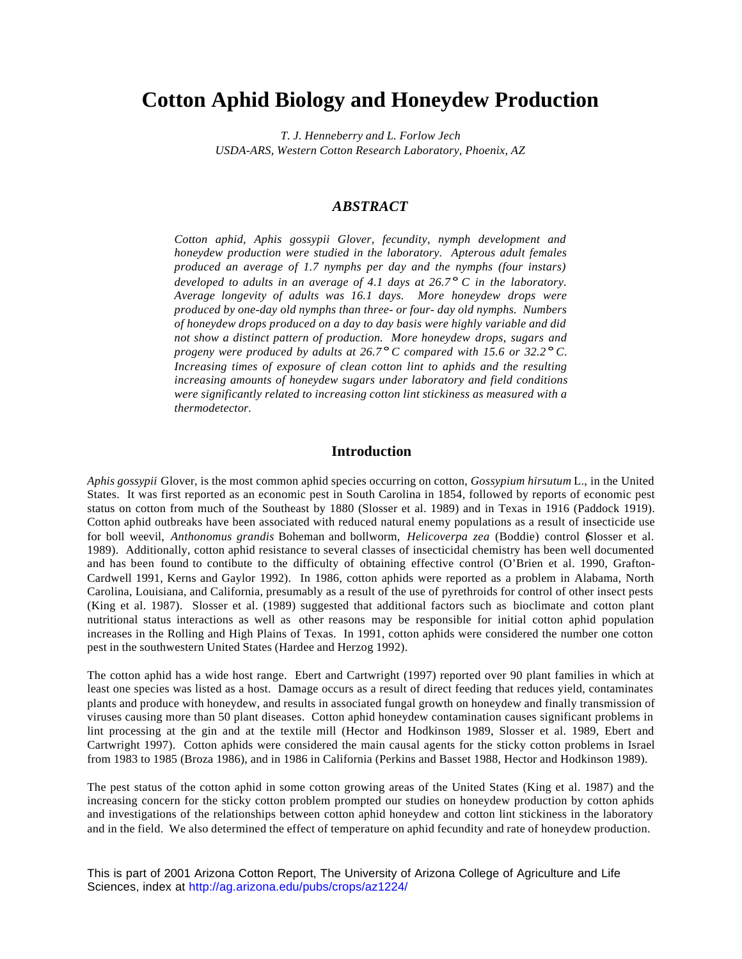# **Cotton Aphid Biology and Honeydew Production**

*T. J. Henneberry and L. Forlow Jech USDA-ARS, Western Cotton Research Laboratory, Phoenix, AZ*

### *ABSTRACT*

*Cotton aphid, Aphis gossypii Glover, fecundity, nymph development and honeydew production were studied in the laboratory. Apterous adult females produced an average of 1.7 nymphs per day and the nymphs (four instars) developed to adults in an average of 4.1 days at 26.7° C in the laboratory. Average longevity of adults was 16.1 days. More honeydew drops were produced by one-day old nymphs than three- or four- day old nymphs. Numbers of honeydew drops produced on a day to day basis were highly variable and did not show a distinct pattern of production. More honeydew drops, sugars and progeny were produced by adults at 26.7° C compared with 15.6 or 32.2° C. Increasing times of exposure of clean cotton lint to aphids and the resulting increasing amounts of honeydew sugars under laboratory and field conditions were significantly related to increasing cotton lint stickiness as measured with a thermodetector.*

#### **Introduction**

*Aphis gossypii* Glover, is the most common aphid species occurring on cotton, *Gossypium hirsutum* L., in the United States. It was first reported as an economic pest in South Carolina in 1854, followed by reports of economic pest status on cotton from much of the Southeast by 1880 (Slosser et al. 1989) and in Texas in 1916 (Paddock 1919). Cotton aphid outbreaks have been associated with reduced natural enemy populations as a result of insecticide use for boll weevil, *Anthonomus grandis* Boheman and bollworm, *Helicoverpa zea* (Boddie) control (Slosser et al. 1989). Additionally, cotton aphid resistance to several classes of insecticidal chemistry has been well documented and has been found to contibute to the difficulty of obtaining effective control (O'Brien et al. 1990, Grafton-Cardwell 1991, Kerns and Gaylor 1992). In 1986, cotton aphids were reported as a problem in Alabama, North Carolina, Louisiana, and California, presumably as a result of the use of pyrethroids for control of other insect pests (King et al. 1987). Slosser et al. (1989) suggested that additional factors such as bioclimate and cotton plant nutritional status interactions as well as other reasons may be responsible for initial cotton aphid population increases in the Rolling and High Plains of Texas. In 1991, cotton aphids were considered the number one cotton pest in the southwestern United States (Hardee and Herzog 1992).

The cotton aphid has a wide host range. Ebert and Cartwright (1997) reported over 90 plant families in which at least one species was listed as a host. Damage occurs as a result of direct feeding that reduces yield, contaminates plants and produce with honeydew, and results in associated fungal growth on honeydew and finally transmission of viruses causing more than 50 plant diseases. Cotton aphid honeydew contamination causes significant problems in lint processing at the gin and at the textile mill (Hector and Hodkinson 1989, Slosser et al. 1989, Ebert and Cartwright 1997). Cotton aphids were considered the main causal agents for the sticky cotton problems in Israel from 1983 to 1985 (Broza 1986), and in 1986 in California (Perkins and Basset 1988, Hector and Hodkinson 1989).

The pest status of the cotton aphid in some cotton growing areas of the United States (King et al. 1987) and the increasing concern for the sticky cotton problem prompted our studies on honeydew production by cotton aphids and investigations of the relationships between cotton aphid honeydew and cotton lint stickiness in the laboratory and in the field. We also determined the effect of temperature on aphid fecundity and rate of honeydew production.

This is part of 2001 Arizona Cotton Report, The University of Arizona College of Agriculture and Life Sciences, index at http://ag.arizona.edu/pubs/crops/az1224/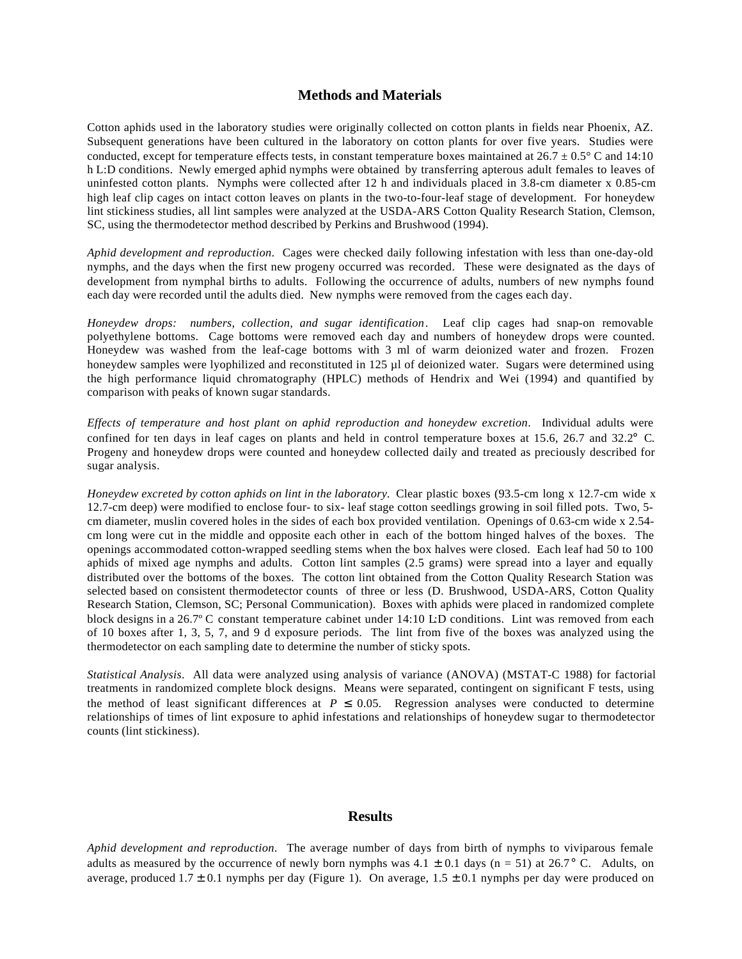#### **Methods and Materials**

Cotton aphids used in the laboratory studies were originally collected on cotton plants in fields near Phoenix, AZ. Subsequent generations have been cultured in the laboratory on cotton plants for over five years. Studies were conducted, except for temperature effects tests, in constant temperature boxes maintained at  $26.7 \pm 0.5^{\circ}$  C and 14:10 h L:D conditions. Newly emerged aphid nymphs were obtained by transferring apterous adult females to leaves of uninfested cotton plants. Nymphs were collected after 12 h and individuals placed in 3.8-cm diameter x 0.85-cm high leaf clip cages on intact cotton leaves on plants in the two-to-four-leaf stage of development. For honeydew lint stickiness studies, all lint samples were analyzed at the USDA-ARS Cotton Quality Research Station, Clemson, SC, using the thermodetector method described by Perkins and Brushwood (1994).

*Aphid development and reproduction*. Cages were checked daily following infestation with less than one-day-old nymphs, and the days when the first new progeny occurred was recorded. These were designated as the days of development from nymphal births to adults. Following the occurrence of adults, numbers of new nymphs found each day were recorded until the adults died. New nymphs were removed from the cages each day.

*Honeydew drops: numbers, collection, and sugar identification*. Leaf clip cages had snap-on removable polyethylene bottoms. Cage bottoms were removed each day and numbers of honeydew drops were counted. Honeydew was washed from the leaf-cage bottoms with 3 ml of warm deionized water and frozen. Frozen honeydew samples were lyophilized and reconstituted in 125 µl of deionized water. Sugars were determined using the high performance liquid chromatography (HPLC) methods of Hendrix and Wei (1994) and quantified by comparison with peaks of known sugar standards.

*Effects of temperature and host plant on aphid reproduction and honeydew excretion*. Individual adults were confined for ten days in leaf cages on plants and held in control temperature boxes at 15.6, 26.7 and 32.2° C. Progeny and honeydew drops were counted and honeydew collected daily and treated as preciously described for sugar analysis.

*Honeydew excreted by cotton aphids on lint in the laboratory.* Clear plastic boxes (93.5-cm long x 12.7-cm wide x 12.7-cm deep) were modified to enclose four- to six- leaf stage cotton seedlings growing in soil filled pots. Two, 5 cm diameter, muslin covered holes in the sides of each box provided ventilation. Openings of 0.63-cm wide x 2.54 cm long were cut in the middle and opposite each other in each of the bottom hinged halves of the boxes. The openings accommodated cotton-wrapped seedling stems when the box halves were closed. Each leaf had 50 to 100 aphids of mixed age nymphs and adults. Cotton lint samples (2.5 grams) were spread into a layer and equally distributed over the bottoms of the boxes. The cotton lint obtained from the Cotton Quality Research Station was selected based on consistent thermodetector counts of three or less (D. Brushwood, USDA-ARS, Cotton Quality Research Station, Clemson, SC; Personal Communication). Boxes with aphids were placed in randomized complete block designs in a 26.7° C constant temperature cabinet under 14:10 L:D conditions. Lint was removed from each of 10 boxes after 1, 3, 5, 7, and 9 d exposure periods. The lint from five of the boxes was analyzed using the thermodetector on each sampling date to determine the number of sticky spots.

*Statistical Analysis*. All data were analyzed using analysis of variance (ANOVA) (MSTAT-C 1988) for factorial treatments in randomized complete block designs. Means were separated, contingent on significant F tests, using the method of least significant differences at  $P \le 0.05$ . Regression analyses were conducted to determine relationships of times of lint exposure to aphid infestations and relationships of honeydew sugar to thermodetector counts (lint stickiness).

#### **Results**

*Aphid development and reproduction*. The average number of days from birth of nymphs to viviparous female adults as measured by the occurrence of newly born nymphs was  $4.1 \pm 0.1$  days (n = 51) at 26.7° C. Adults, on average, produced  $1.7 \pm 0.1$  nymphs per day (Figure 1). On average,  $1.5 \pm 0.1$  nymphs per day were produced on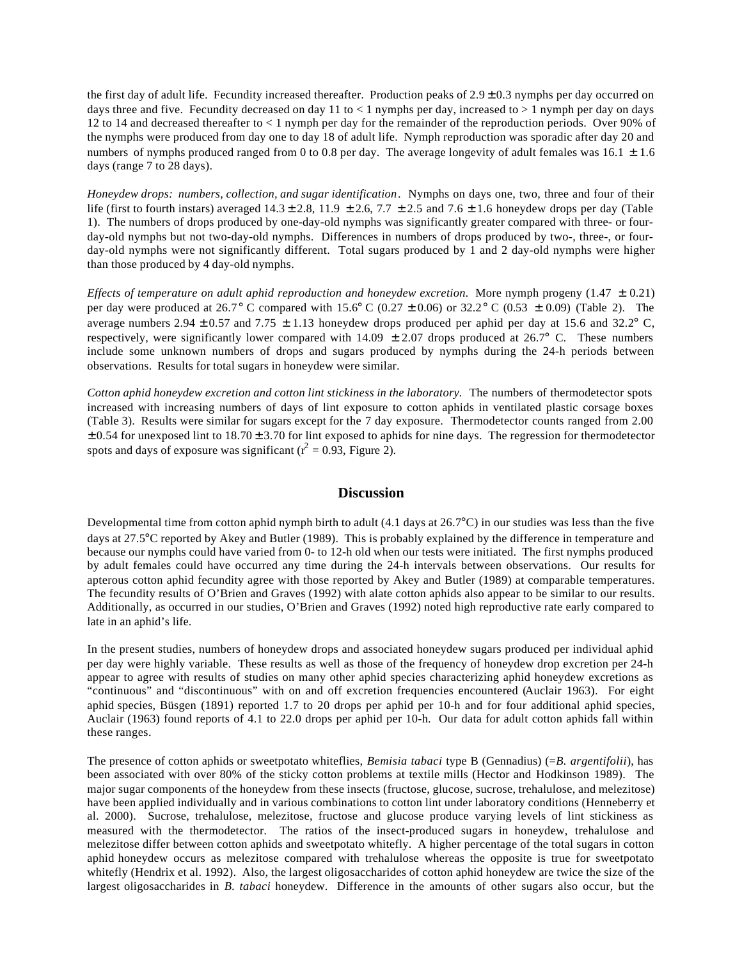the first day of adult life. Fecundity increased thereafter. Production peaks of  $2.9 \pm 0.3$  nymphs per day occurred on days three and five. Fecundity decreased on day 11 to  $< 1$  nymphs per day, increased to  $> 1$  nymph per day on days 12 to 14 and decreased thereafter to < 1 nymph per day for the remainder of the reproduction periods. Over 90% of the nymphs were produced from day one to day 18 of adult life. Nymph reproduction was sporadic after day 20 and numbers of nymphs produced ranged from 0 to 0.8 per day. The average longevity of adult females was 16.1  $\pm$  1.6 days (range 7 to 28 days).

*Honeydew drops: numbers, collection, and sugar identification*. Nymphs on days one, two, three and four of their life (first to fourth instars) averaged  $14.3 \pm 2.8$ ,  $11.9 \pm 2.6$ ,  $7.7 \pm 2.5$  and  $7.6 \pm 1.6$  honeydew drops per day (Table 1). The numbers of drops produced by one-day-old nymphs was significantly greater compared with three- or fourday-old nymphs but not two-day-old nymphs. Differences in numbers of drops produced by two-, three-, or fourday-old nymphs were not significantly different. Total sugars produced by 1 and 2 day-old nymphs were higher than those produced by 4 day-old nymphs.

*Effects of temperature on adult aphid reproduction and honeydew excretion.* More nymph progeny (1.47 ± 0.21) per day were produced at 26.7° C compared with 15.6° C (0.27  $\pm$  0.06) or 32.2° C (0.53  $\pm$  0.09) (Table 2). The average numbers 2.94  $\pm$  0.57 and 7.75  $\pm$  1.13 honeydew drops produced per aphid per day at 15.6 and 32.2° C, respectively, were significantly lower compared with 14.09  $\pm$  2.07 drops produced at 26.7° C. These numbers include some unknown numbers of drops and sugars produced by nymphs during the 24-h periods between observations. Results for total sugars in honeydew were similar.

*Cotton aphid honeydew excretion and cotton lint stickiness in the laboratory.* The numbers of thermodetector spots increased with increasing numbers of days of lint exposure to cotton aphids in ventilated plastic corsage boxes (Table 3). Results were similar for sugars except for the 7 day exposure. Thermodetector counts ranged from 2.00  $\pm$  0.54 for unexposed lint to 18.70  $\pm$  3.70 for lint exposed to aphids for nine days. The regression for thermodetector spots and days of exposure was significant ( $r^2 = 0.93$ , Figure 2).

# **Discussion**

Developmental time from cotton aphid nymph birth to adult (4.1 days at 26.7°C) in our studies was less than the five days at 27.5°C reported by Akey and Butler (1989). This is probably explained by the difference in temperature and because our nymphs could have varied from 0- to 12-h old when our tests were initiated. The first nymphs produced by adult females could have occurred any time during the 24-h intervals between observations. Our results for apterous cotton aphid fecundity agree with those reported by Akey and Butler (1989) at comparable temperatures. The fecundity results of O'Brien and Graves (1992) with alate cotton aphids also appear to be similar to our results. Additionally, as occurred in our studies, O'Brien and Graves (1992) noted high reproductive rate early compared to late in an aphid's life.

In the present studies, numbers of honeydew drops and associated honeydew sugars produced per individual aphid per day were highly variable. These results as well as those of the frequency of honeydew drop excretion per 24-h appear to agree with results of studies on many other aphid species characterizing aphid honeydew excretions as "continuous" and "discontinuous" with on and off excretion frequencies encountered (Auclair 1963). For eight aphid species, Büsgen (1891) reported 1.7 to 20 drops per aphid per 10-h and for four additional aphid species, Auclair (1963) found reports of 4.1 to 22.0 drops per aphid per 10-h. Our data for adult cotton aphids fall within these ranges.

The presence of cotton aphids or sweetpotato whiteflies, *Bemisia tabaci* type B (Gennadius) (=*B. argentifolii*), has been associated with over 80% of the sticky cotton problems at textile mills (Hector and Hodkinson 1989). The major sugar components of the honeydew from these insects (fructose, glucose, sucrose, trehalulose, and melezitose) have been applied individually and in various combinations to cotton lint under laboratory conditions (Henneberry et al. 2000). Sucrose, trehalulose, melezitose, fructose and glucose produce varying levels of lint stickiness as measured with the thermodetector. The ratios of the insect-produced sugars in honeydew, trehalulose and melezitose differ between cotton aphids and sweetpotato whitefly. A higher percentage of the total sugars in cotton aphid honeydew occurs as melezitose compared with trehalulose whereas the opposite is true for sweetpotato whitefly (Hendrix et al. 1992). Also, the largest oligosaccharides of cotton aphid honeydew are twice the size of the largest oligosaccharides in *B. tabaci* honeydew. Difference in the amounts of other sugars also occur, but the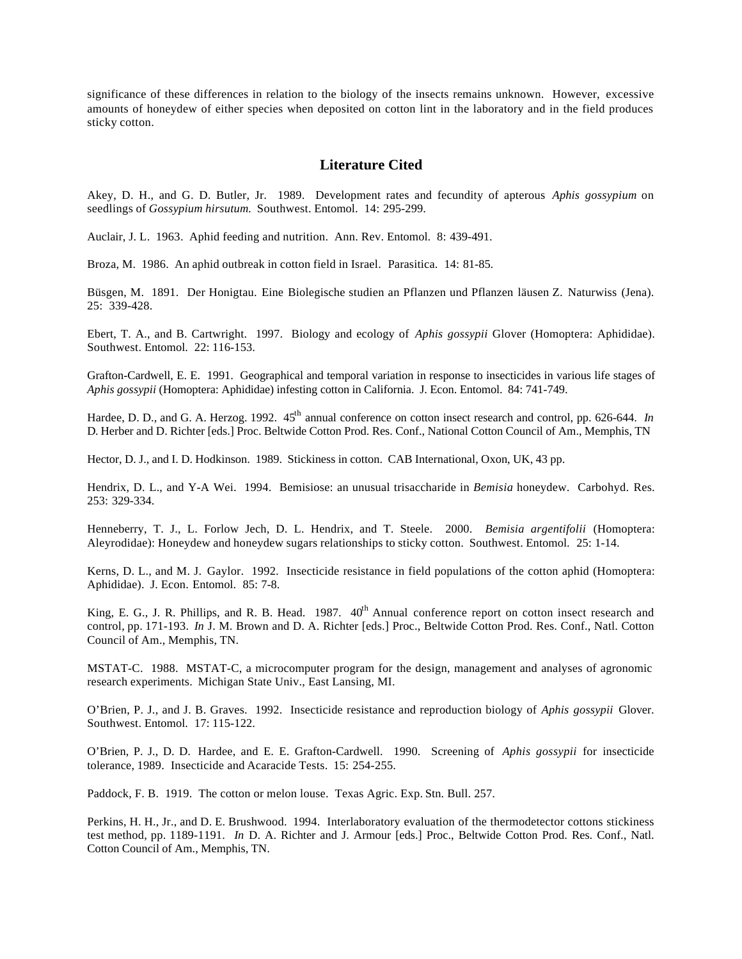significance of these differences in relation to the biology of the insects remains unknown. However, excessive amounts of honeydew of either species when deposited on cotton lint in the laboratory and in the field produces sticky cotton.

### **Literature Cited**

Akey, D. H., and G. D. Butler, Jr. 1989. Development rates and fecundity of apterous *Aphis gossypium* on seedlings of *Gossypium hirsutum.* Southwest. Entomol. 14: 295-299.

Auclair, J. L. 1963. Aphid feeding and nutrition. Ann. Rev. Entomol. 8: 439-491.

Broza, M. 1986. An aphid outbreak in cotton field in Israel. Parasitica. 14: 81-85.

Büsgen, M. 1891. Der Honigtau. Eine Biolegische studien an Pflanzen und Pflanzen läusen Z. Naturwiss (Jena). 25: 339-428.

Ebert, T. A., and B. Cartwright. 1997. Biology and ecology of *Aphis gossypii* Glover (Homoptera: Aphididae). Southwest. Entomol. 22: 116-153.

Grafton-Cardwell, E. E. 1991. Geographical and temporal variation in response to insecticides in various life stages of *Aphis gossypii* (Homoptera: Aphididae) infesting cotton in California. J. Econ. Entomol. 84: 741-749.

Hardee, D. D., and G. A. Herzog. 1992.  $45<sup>th</sup>$  annual conference on cotton insect research and control, pp. 626-644. *In* D. Herber and D. Richter [eds.] Proc. Beltwide Cotton Prod. Res. Conf., National Cotton Council of Am., Memphis, TN

Hector, D. J., and I. D. Hodkinson. 1989. Stickiness in cotton. CAB International, Oxon, UK, 43 pp.

Hendrix, D. L., and Y-A Wei. 1994. Bemisiose: an unusual trisaccharide in *Bemisia* honeydew. Carbohyd. Res. 253: 329-334.

Henneberry, T. J., L. Forlow Jech, D. L. Hendrix, and T. Steele. 2000. *Bemisia argentifolii* (Homoptera: Aleyrodidae): Honeydew and honeydew sugars relationships to sticky cotton. Southwest. Entomol. 25: 1-14.

Kerns, D. L., and M. J. Gaylor. 1992. Insecticide resistance in field populations of the cotton aphid (Homoptera: Aphididae). J. Econ. Entomol. 85: 7-8.

King, E. G., J. R. Phillips, and R. B. Head. 1987. 40<sup>th</sup> Annual conference report on cotton insect research and control, pp. 171-193. *In* J. M. Brown and D. A. Richter [eds.] Proc., Beltwide Cotton Prod. Res. Conf., Natl. Cotton Council of Am., Memphis, TN.

MSTAT-C. 1988. MSTAT-C, a microcomputer program for the design, management and analyses of agronomic research experiments. Michigan State Univ., East Lansing, MI.

O'Brien, P. J., and J. B. Graves. 1992. Insecticide resistance and reproduction biology of *Aphis gossypii* Glover. Southwest. Entomol. 17: 115-122.

O'Brien, P. J., D. D. Hardee, and E. E. Grafton-Cardwell. 1990. Screening of *Aphis gossypii* for insecticide tolerance, 1989. Insecticide and Acaracide Tests. 15: 254-255.

Paddock, F. B. 1919. The cotton or melon louse. Texas Agric. Exp. Stn. Bull. 257.

Perkins, H. H., Jr., and D. E. Brushwood. 1994. Interlaboratory evaluation of the thermodetector cottons stickiness test method, pp. 1189-1191. *In* D. A. Richter and J. Armour [eds.] Proc., Beltwide Cotton Prod. Res. Conf., Natl. Cotton Council of Am., Memphis, TN.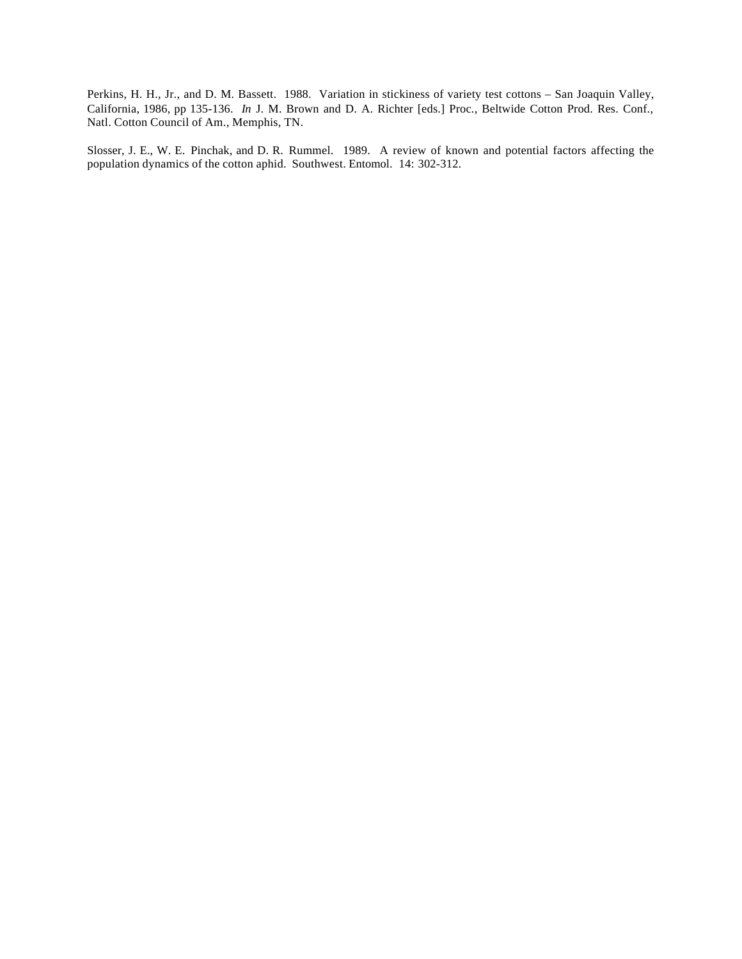Perkins, H. H., Jr., and D. M. Bassett. 1988. Variation in stickiness of variety test cottons – San Joaquin Valley, California, 1986, pp 135-136. *In* J. M. Brown and D. A. Richter [eds.] Proc., Beltwide Cotton Prod. Res. Conf., Natl. Cotton Council of Am., Memphis, TN.

Slosser, J. E., W. E. Pinchak, and D. R. Rummel. 1989. A review of known and potential factors affecting the population dynamics of the cotton aphid. Southwest. Entomol. 14: 302-312.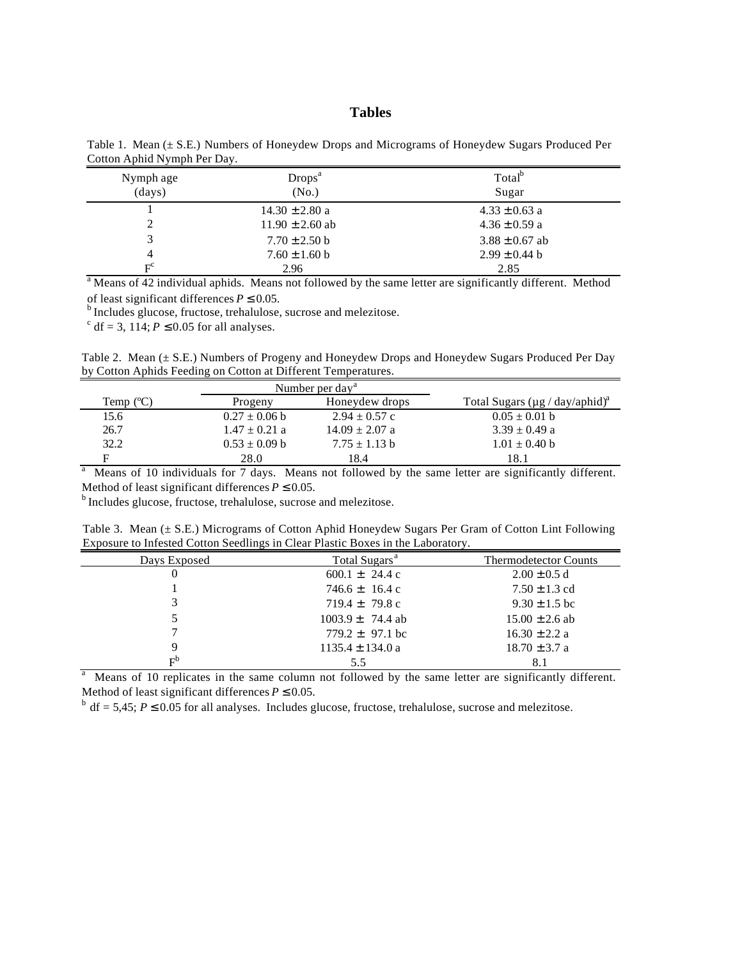## **Tables**

| Nymph age<br>(days)   | Drops <sup>a</sup><br>(No.) | Total <sup>b</sup><br>Sugar |
|-----------------------|-----------------------------|-----------------------------|
|                       | $14.30 \pm 2.80$ a          | $4.33 \pm 0.63$ a           |
|                       | $11.90 \pm 2.60$ ab         | $4.36 \pm 0.59$ a           |
|                       | $7.70 \pm 2.50$ b           | $3.88 \pm 0.67$ ab          |
| 4                     | $7.60 \pm 1.60$ b           | $2.99 \pm 0.44$ b           |
| $\mathbf{E}^\text{c}$ | 2.96                        | 2.85                        |

Table 1. Mean (± S.E.) Numbers of Honeydew Drops and Micrograms of Honeydew Sugars Produced Per Cotton Aphid Nymph Per Day.

F 2.96 2.85 a Means of 42 individual aphids. Means not followed by the same letter are significantly different. Method of least significant differences  $P \le 0.05$ .

<sup>b</sup> Includes glucose, fructose, trehalulose, sucrose and melezitose.

<sup>c</sup> df = 3, 114;  $P \le 0.05$  for all analyses.

Table 2. Mean (± S.E.) Numbers of Progeny and Honeydew Drops and Honeydew Sugars Produced Per Day by Cotton Aphids Feeding on Cotton at Different Temperatures.

|           | Number per day <sup>a</sup> |                    |                                                  |
|-----------|-----------------------------|--------------------|--------------------------------------------------|
| Temp (°C) | Progeny                     | Honey drops        | Total Sugars ( $\mu$ g / day/aphid) <sup>a</sup> |
| 15.6      | $0.27 \pm 0.06$ b           | $2.94 \pm 0.57$ c  | $0.05 \pm 0.01$ b                                |
| 26.7      | $1.47 \pm 0.21$ a           | $14.09 \pm 2.07$ a | $3.39 \pm 0.49$ a                                |
| 32.2      | $0.53 \pm 0.09$ b           | $7.75 \pm 1.13$ b  | $1.01 \pm 0.40$ b                                |
| E         | 28.0                        | 18.4               | 18.1                                             |

<sup>a</sup> Means of 10 individuals for 7 days. Means not followed by the same letter are significantly different. Method of least significant differences  $P \le 0.05$ .

<sup>b</sup> Includes glucose, fructose, trehalulose, sucrose and melezitose.

Table 3. Mean (± S.E.) Micrograms of Cotton Aphid Honeydew Sugars Per Gram of Cotton Lint Following Exposure to Infested Cotton Seedlings in Clear Plastic Boxes in the Laboratory.

| Days Exposed | Total Sugars <sup>a</sup>  | <b>Thermodetector Counts</b> |
|--------------|----------------------------|------------------------------|
|              | $600.1 \pm 24.4 \text{ c}$ | $2.00 \pm 0.5$ d             |
|              | $746.6 \pm 16.4 \text{ c}$ | $7.50 \pm 1.3$ cd            |
|              | $719.4 \pm 79.8$ c         | $9.30 \pm 1.5$ bc            |
|              | $1003.9 \pm 74.4$ ab       | $15.00 \pm 2.6$ ab           |
|              | $779.2 \pm 97.1$ bc        | $16.30 \pm 2.2 a$            |
| 9            | $1135.4 \pm 134.0$ a       | $18.70 \pm 3.7$ a            |
| $E_0$        | 5.5                        |                              |

a Means of 10 replicates in the same column not followed by the same letter are significantly different. Method of least significant differences  $P \le 0.05$ .

 $b$  df = 5,45;  $P \le 0.05$  for all analyses. Includes glucose, fructose, trehalulose, sucrose and melezitose.